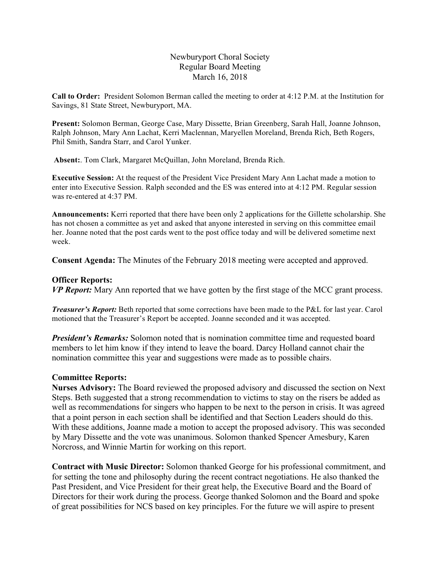## Newburyport Choral Society Regular Board Meeting March 16, 2018

**Call to Order:** President Solomon Berman called the meeting to order at 4:12 P.M. at the Institution for Savings, 81 State Street, Newburyport, MA.

**Present:** Solomon Berman, George Case, Mary Dissette, Brian Greenberg, Sarah Hall, Joanne Johnson, Ralph Johnson, Mary Ann Lachat, Kerri Maclennan, Maryellen Moreland, Brenda Rich, Beth Rogers, Phil Smith, Sandra Starr, and Carol Yunker.

**Absent:**. Tom Clark, Margaret McQuillan, John Moreland, Brenda Rich.

**Executive Session:** At the request of the President Vice President Mary Ann Lachat made a motion to enter into Executive Session. Ralph seconded and the ES was entered into at 4:12 PM. Regular session was re-entered at 4:37 PM.

**Announcements:** Kerri reported that there have been only 2 applications for the Gillette scholarship. She has not chosen a committee as yet and asked that anyone interested in serving on this committee email her. Joanne noted that the post cards went to the post office today and will be delivered sometime next week.

**Consent Agenda:** The Minutes of the February 2018 meeting were accepted and approved.

### **Officer Reports:**

*VP Report:* Mary Ann reported that we have gotten by the first stage of the MCC grant process.

*Treasurer's Report:* Beth reported that some corrections have been made to the P&L for last year. Carol motioned that the Treasurer's Report be accepted. Joanne seconded and it was accepted.

*President's Remarks:* Solomon noted that is nomination committee time and requested board members to let him know if they intend to leave the board. Darcy Holland cannot chair the nomination committee this year and suggestions were made as to possible chairs.

### **Committee Reports:**

**Nurses Advisory:** The Board reviewed the proposed advisory and discussed the section on Next Steps. Beth suggested that a strong recommendation to victims to stay on the risers be added as well as recommendations for singers who happen to be next to the person in crisis. It was agreed that a point person in each section shall be identified and that Section Leaders should do this. With these additions, Joanne made a motion to accept the proposed advisory. This was seconded by Mary Dissette and the vote was unanimous. Solomon thanked Spencer Amesbury, Karen Norcross, and Winnie Martin for working on this report.

**Contract with Music Director:** Solomon thanked George for his professional commitment, and for setting the tone and philosophy during the recent contract negotiations. He also thanked the Past President, and Vice President for their great help, the Executive Board and the Board of Directors for their work during the process. George thanked Solomon and the Board and spoke of great possibilities for NCS based on key principles. For the future we will aspire to present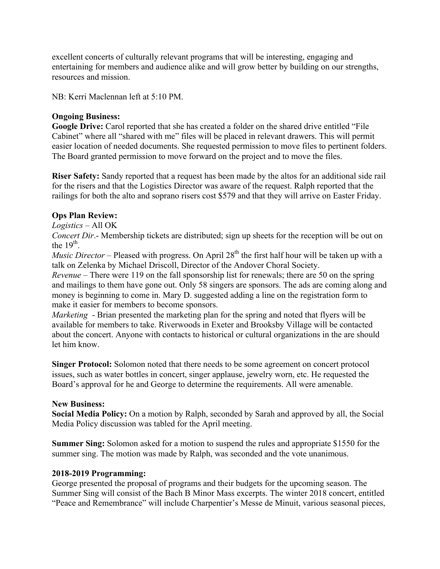excellent concerts of culturally relevant programs that will be interesting, engaging and entertaining for members and audience alike and will grow better by building on our strengths, resources and mission.

NB: Kerri Maclennan left at 5:10 PM.

## **Ongoing Business:**

Google Drive: Carol reported that she has created a folder on the shared drive entitled "File" Cabinet" where all "shared with me" files will be placed in relevant drawers. This will permit easier location of needed documents. She requested permission to move files to pertinent folders. The Board granted permission to move forward on the project and to move the files.

**Riser Safety:** Sandy reported that a request has been made by the altos for an additional side rail for the risers and that the Logistics Director was aware of the request. Ralph reported that the railings for both the alto and soprano risers cost \$579 and that they will arrive on Easter Friday.

# **Ops Plan Review:**

*Logistics* – All OK

*Concert Dir.*- Membership tickets are distributed; sign up sheets for the reception will be out on the  $19^{th}$ .

*Music Director* – Pleased with progress. On April  $28<sup>th</sup>$  the first half hour will be taken up with a talk on Zelenka by Michael Driscoll, Director of the Andover Choral Society.

*Revenue* – There were 119 on the fall sponsorship list for renewals; there are 50 on the spring and mailings to them have gone out. Only 58 singers are sponsors. The ads are coming along and money is beginning to come in. Mary D. suggested adding a line on the registration form to make it easier for members to become sponsors.

*Marketing* - Brian presented the marketing plan for the spring and noted that flyers will be available for members to take. Riverwoods in Exeter and Brooksby Village will be contacted about the concert. Anyone with contacts to historical or cultural organizations in the are should let him know.

**Singer Protocol:** Solomon noted that there needs to be some agreement on concert protocol issues, such as water bottles in concert, singer applause, jewelry worn, etc. He requested the Board's approval for he and George to determine the requirements. All were amenable.

# **New Business:**

**Social Media Policy:** On a motion by Ralph, seconded by Sarah and approved by all, the Social Media Policy discussion was tabled for the April meeting.

**Summer Sing:** Solomon asked for a motion to suspend the rules and appropriate \$1550 for the summer sing. The motion was made by Ralph, was seconded and the vote unanimous.

## **2018-2019 Programming:**

George presented the proposal of programs and their budgets for the upcoming season. The Summer Sing will consist of the Bach B Minor Mass excerpts. The winter 2018 concert, entitled "Peace and Remembrance" will include Charpentier's Messe de Minuit, various seasonal pieces,